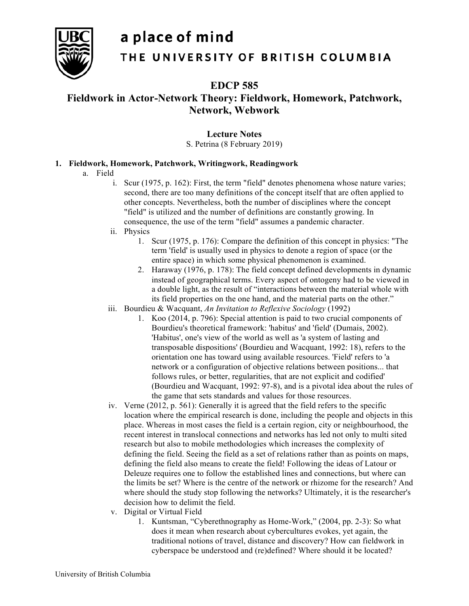a place of mind



# THE UNIVERSITY OF BRITISH COLUMBIA

**EDCP 585**

## **Fieldwork in Actor-Network Theory: Fieldwork, Homework, Patchwork, Network, Webwork**

## **Lecture Notes**

S. Petrina (8 February 2019)

## **1. Fieldwork, Homework, Patchwork, Writingwork, Readingwork**

- a. Field
	- i. Scur (1975, p. 162): First, the term "field" denotes phenomena whose nature varies; second, there are too many definitions of the concept itself that are often applied to other concepts. Nevertheless, both the number of disciplines where the concept "field" is utilized and the number of definitions are constantly growing. In consequence, the use of the term "field" assumes a pandemic character.
	- ii. Physics
		- 1. Scur (1975, p. 176): Compare the definition of this concept in physics: "The term 'field' is usually used in physics to denote a region of space (or the entire space) in which some physical phenomenon is examined.
		- 2. Haraway (1976, p. 178): The field concept defined developments in dynamic instead of geographical terms. Every aspect of ontogeny had to be viewed in a double light, as the result of "interactions between the material whole with its field properties on the one hand, and the material parts on the other."
	- iii. Bourdieu & Wacquant, *An Invitation to Reflexive Sociology* (1992)
		- 1. Koo (2014, p. 796): Special attention is paid to two crucial components of Bourdieu's theoretical framework: 'habitus' and 'field' (Dumais, 2002). 'Habitus', one's view of the world as well as 'a system of lasting and transposable dispositions' (Bourdieu and Wacquant, 1992: 18), refers to the orientation one has toward using available resources. 'Field' refers to 'a network or a configuration of objective relations between positions... that follows rules, or better, regularities, that are not explicit and codified' (Bourdieu and Wacquant, 1992: 97-8), and is a pivotal idea about the rules of the game that sets standards and values for those resources.
	- iv. Verne (2012, p. 561): Generally it is agreed that the field refers to the specific location where the empirical research is done, including the people and objects in this place. Whereas in most cases the field is a certain region, city or neighbourhood, the recent interest in translocal connections and networks has led not only to multi sited research but also to mobile methodologies which increases the complexity of defining the field. Seeing the field as a set of relations rather than as points on maps, defining the field also means to create the field! Following the ideas of Latour or Deleuze requires one to follow the established lines and connections, but where can the limits be set? Where is the centre of the network or rhizome for the research? And where should the study stop following the networks? Ultimately, it is the researcher's decision how to delimit the field.
	- v. Digital or Virtual Field
		- 1. Kuntsman, "Cyberethnography as Home-Work," (2004, pp. 2-3): So what does it mean when research about cybercultures evokes, yet again, the traditional notions of travel, distance and discovery? How can fieldwork in cyberspace be understood and (re)defined? Where should it be located?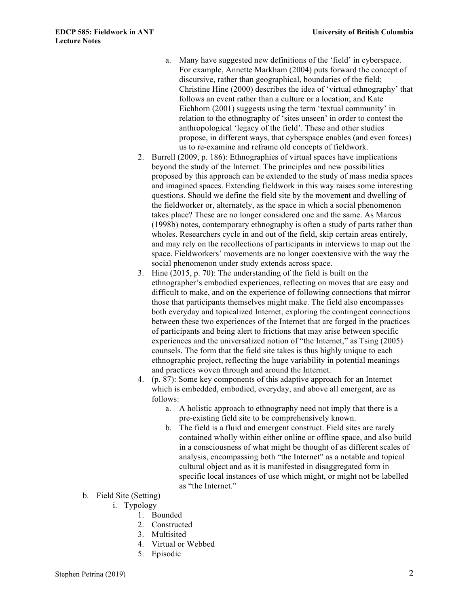- a. Many have suggested new definitions of the 'field' in cyberspace. For example, Annette Markham (2004) puts forward the concept of discursive, rather than geographical, boundaries of the field; Christine Hine (2000) describes the idea of 'virtual ethnography' that follows an event rather than a culture or a location; and Kate Eichhorn (2001) suggests using the term 'textual community' in relation to the ethnography of 'sites unseen' in order to contest the anthropological 'legacy of the field'. These and other studies propose, in different ways, that cyberspace enables (and even forces) us to re-examine and reframe old concepts of fieldwork.
- 2. Burrell (2009, p. 186): Ethnographies of virtual spaces have implications beyond the study of the Internet. The principles and new possibilities proposed by this approach can be extended to the study of mass media spaces and imagined spaces. Extending fieldwork in this way raises some interesting questions. Should we define the field site by the movement and dwelling of the fieldworker or, alternately, as the space in which a social phenomenon takes place? These are no longer considered one and the same. As Marcus (1998b) notes, contemporary ethnography is often a study of parts rather than wholes. Researchers cycle in and out of the field, skip certain areas entirely, and may rely on the recollections of participants in interviews to map out the space. Fieldworkers' movements are no longer coextensive with the way the social phenomenon under study extends across space.
- 3. Hine (2015, p. 70): The understanding of the field is built on the ethnographer's embodied experiences, reflecting on moves that are easy and difficult to make, and on the experience of following connections that mirror those that participants themselves might make. The field also encompasses both everyday and topicalized Internet, exploring the contingent connections between these two experiences of the Internet that are forged in the practices of participants and being alert to frictions that may arise between specific experiences and the universalized notion of "the Internet," as Tsing (2005) counsels. The form that the field site takes is thus highly unique to each ethnographic project, reflecting the huge variability in potential meanings and practices woven through and around the Internet.
- 4. (p. 87): Some key components of this adaptive approach for an Internet which is embedded, embodied, everyday, and above all emergent, are as follows:
	- a. A holistic approach to ethnography need not imply that there is a pre-existing field site to be comprehensively known.
	- b. The field is a fluid and emergent construct. Field sites are rarely contained wholly within either online or offline space, and also build in a consciousness of what might be thought of as different scales of analysis, encompassing both "the Internet" as a notable and topical cultural object and as it is manifested in disaggregated form in specific local instances of use which might, or might not be labelled as "the Internet."
- b. Field Site (Setting)
	- i. Typology
		- 1. Bounded
		- 2. Constructed
		- 3. Multisited
		- 4. Virtual or Webbed
		- 5. Episodic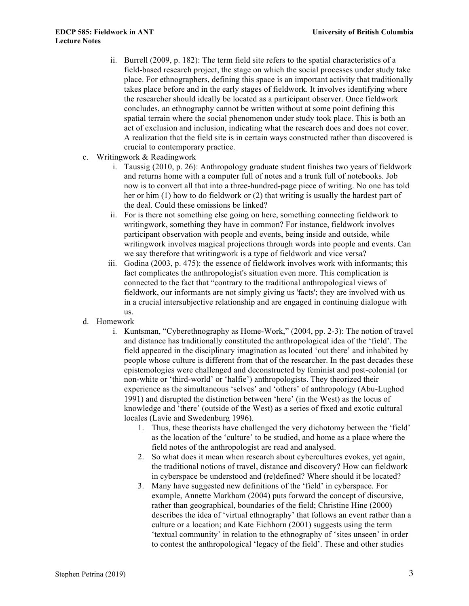- ii. Burrell (2009, p. 182): The term field site refers to the spatial characteristics of a field-based research project, the stage on which the social processes under study take place. For ethnographers, defining this space is an important activity that traditionally takes place before and in the early stages of fieldwork. It involves identifying where the researcher should ideally be located as a participant observer. Once fieldwork concludes, an ethnography cannot be written without at some point defining this spatial terrain where the social phenomenon under study took place. This is both an act of exclusion and inclusion, indicating what the research does and does not cover. A realization that the field site is in certain ways constructed rather than discovered is crucial to contemporary practice.
- c. Writingwork & Readingwork
	- i. Taussig (2010, p. 26): Anthropology graduate student finishes two years of fieldwork and returns home with a computer full of notes and a trunk full of notebooks. Job now is to convert all that into a three-hundred-page piece of writing. No one has told her or him (1) how to do fieldwork or (2) that writing is usually the hardest part of the deal. Could these omissions be linked?
	- ii. For is there not something else going on here, something connecting fieldwork to writingwork, something they have in common? For instance, fieldwork involves participant observation with people and events, being inside and outside, while writingwork involves magical projections through words into people and events. Can we say therefore that writingwork is a type of fieldwork and vice versa?
	- iii. Godina (2003, p. 475): the essence of fieldwork involves work with informants; this fact complicates the anthropologist's situation even more. This complication is connected to the fact that "contrary to the traditional anthropological views of fieldwork, our informants are not simply giving us 'facts'; they are involved with us in a crucial intersubjective relationship and are engaged in continuing dialogue with us.
- d. Homework
	- i. Kuntsman, "Cyberethnography as Home-Work," (2004, pp. 2-3): The notion of travel and distance has traditionally constituted the anthropological idea of the 'field'. The field appeared in the disciplinary imagination as located 'out there' and inhabited by people whose culture is different from that of the researcher. In the past decades these epistemologies were challenged and deconstructed by feminist and post-colonial (or non-white or 'third-world' or 'halfie') anthropologists. They theorized their experience as the simultaneous 'selves' and 'others' of anthropology (Abu-Lughod 1991) and disrupted the distinction between 'here' (in the West) as the locus of knowledge and 'there' (outside of the West) as a series of fixed and exotic cultural locales (Lavie and Swedenburg 1996).
		- 1. Thus, these theorists have challenged the very dichotomy between the 'field' as the location of the 'culture' to be studied, and home as a place where the field notes of the anthropologist are read and analysed.
		- 2. So what does it mean when research about cybercultures evokes, yet again, the traditional notions of travel, distance and discovery? How can fieldwork in cyberspace be understood and (re)defined? Where should it be located?
		- 3. Many have suggested new definitions of the 'field' in cyberspace. For example, Annette Markham (2004) puts forward the concept of discursive, rather than geographical, boundaries of the field; Christine Hine (2000) describes the idea of 'virtual ethnography' that follows an event rather than a culture or a location; and Kate Eichhorn (2001) suggests using the term 'textual community' in relation to the ethnography of 'sites unseen' in order to contest the anthropological 'legacy of the field'. These and other studies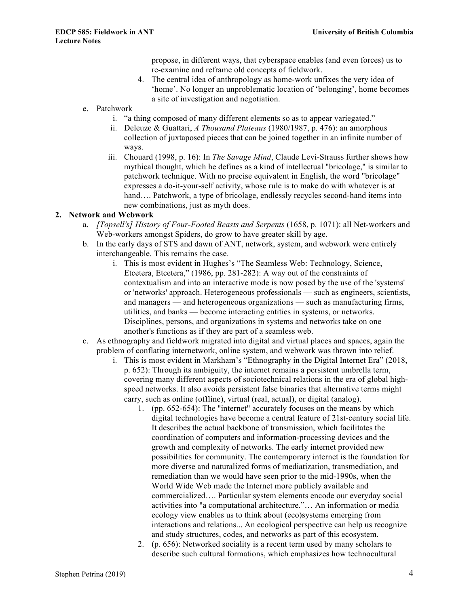propose, in different ways, that cyberspace enables (and even forces) us to re-examine and reframe old concepts of fieldwork.

- 4. The central idea of anthropology as home-work unfixes the very idea of 'home'. No longer an unproblematic location of 'belonging', home becomes a site of investigation and negotiation.
- e. Patchwork
	- i. "a thing composed of many different elements so as to appear variegated."
	- ii. Deleuze & Guattari, *A Thousand Plateaus* (1980/1987, p. 476): an amorphous collection of juxtaposed pieces that can be joined together in an infinite number of ways.
	- iii. Chouard (1998, p. 16): In *The Savage Mind*, Claude Levi-Strauss further shows how mythical thought, which he defines as a kind of intellectual "bricolage," is similar to patchwork technique. With no precise equivalent in English, the word "bricolage" expresses a do-it-your-self activity, whose rule is to make do with whatever is at hand.... Patchwork, a type of bricolage, endlessly recycles second-hand items into new combinations, just as myth does.

#### **2. Network and Webwork**

- a. *[Topsell's] History of Four-Footed Beasts and Serpents* (1658, p. 1071): all Net-workers and Web-workers amongst Spiders, do grow to have greater skill by age.
- b. In the early days of STS and dawn of ANT, network, system, and webwork were entirely interchangeable. This remains the case.
	- i. This is most evident in Hughes's "The Seamless Web: Technology, Science, Etcetera, Etcetera," (1986, pp. 281-282): A way out of the constraints of contextualism and into an interactive mode is now posed by the use of the 'systems' or 'networks' approach. Heterogeneous professionals — such as engineers, scientists, and managers — and heterogeneous organizations — such as manufacturing firms, utilities, and banks — become interacting entities in systems, or networks. Disciplines, persons, and organizations in systems and networks take on one another's functions as if they are part of a seamless web.
- c. As ethnography and fieldwork migrated into digital and virtual places and spaces, again the problem of conflating internetwork, online system, and webwork was thrown into relief.
	- i. This is most evident in Markham's "Ethnography in the Digital Internet Era" (2018, p. 652): Through its ambiguity, the internet remains a persistent umbrella term, covering many different aspects of sociotechnical relations in the era of global highspeed networks. It also avoids persistent false binaries that alternative terms might carry, such as online (offline), virtual (real, actual), or digital (analog).
		- 1. (pp. 652-654): The "internet" accurately focuses on the means by which digital technologies have become a central feature of 21st-century social life. It describes the actual backbone of transmission, which facilitates the coordination of computers and information-processing devices and the growth and complexity of networks. The early internet provided new possibilities for community. The contemporary internet is the foundation for more diverse and naturalized forms of mediatization, transmediation, and remediation than we would have seen prior to the mid-1990s, when the World Wide Web made the Internet more publicly available and commercialized…. Particular system elements encode our everyday social activities into "a computational architecture."… An information or media ecology view enables us to think about (eco)systems emerging from interactions and relations... An ecological perspective can help us recognize and study structures, codes, and networks as part of this ecosystem.
		- 2. (p. 656): Networked sociality is a recent term used by many scholars to describe such cultural formations, which emphasizes how technocultural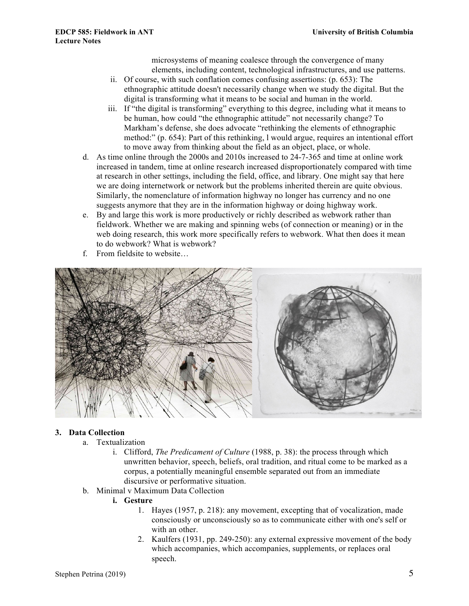microsystems of meaning coalesce through the convergence of many elements, including content, technological infrastructures, and use patterns.

- ii. Of course, with such conflation comes confusing assertions: (p. 653): The ethnographic attitude doesn't necessarily change when we study the digital. But the digital is transforming what it means to be social and human in the world.
- iii. If "the digital is transforming" everything to this degree, including what it means to be human, how could "the ethnographic attitude" not necessarily change? To Markham's defense, she does advocate "rethinking the elements of ethnographic method:" (p. 654): Part of this rethinking, l would argue, requires an intentional effort to move away from thinking about the field as an object, place, or whole.
- d. As time online through the 2000s and 2010s increased to 24-7-365 and time at online work increased in tandem, time at online research increased disproportionately compared with time at research in other settings, including the field, office, and library. One might say that here we are doing internetwork or network but the problems inherited therein are quite obvious. Similarly, the nomenclature of information highway no longer has currency and no one suggests anymore that they are in the information highway or doing highway work.
- e. By and large this work is more productively or richly described as webwork rather than fieldwork. Whether we are making and spinning webs (of connection or meaning) or in the web doing research, this work more specifically refers to webwork. What then does it mean to do webwork? What is webwork?
- f. From fieldsite to website…



## **3. Data Collection**

- a. Textualization
	- i. Clifford, *The Predicament of Culture* (1988, p. 38): the process through which unwritten behavior, speech, beliefs, oral tradition, and ritual come to be marked as a corpus, a potentially meaningful ensemble separated out from an immediate discursive or performative situation.
- b. Minimal v Maximum Data Collection

#### **i. Gesture**

- 1. Hayes (1957, p. 218): any movement, excepting that of vocalization, made consciously or unconsciously so as to communicate either with one's self or with an other.
- 2. Kaulfers (1931, pp. 249-250): any external expressive movement of the body which accompanies, which accompanies, supplements, or replaces oral speech.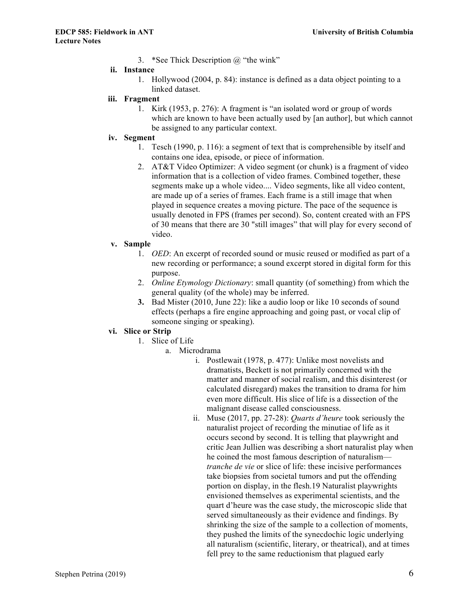3. \*See Thick Description @ "the wink"

#### **ii. Instance**

1. Hollywood (2004, p. 84): instance is defined as a data object pointing to a linked dataset.

#### **iii. Fragment**

- 1. Kirk (1953, p. 276): A fragment is "an isolated word or group of words which are known to have been actually used by [an author], but which cannot be assigned to any particular context.
- **iv. Segment**
	- 1. Tesch (1990, p. 116): a segment of text that is comprehensible by itself and contains one idea, episode, or piece of information.
	- 2. AT&T Video Optimizer: A video segment (or chunk) is a fragment of video information that is a collection of video frames. Combined together, these segments make up a whole video.... Video segments, like all video content, are made up of a series of frames. Each frame is a still image that when played in sequence creates a moving picture. The pace of the sequence is usually denoted in FPS (frames per second). So, content created with an FPS of 30 means that there are 30 "still images" that will play for every second of video.

#### **v. Sample**

- 1. *OED*: An excerpt of recorded sound or music reused or modified as part of a new recording or performance; a sound excerpt stored in digital form for this purpose.
- 2. *Online Etymology Dictionary*: small quantity (of something) from which the general quality (of the whole) may be inferred.
- **3.** Bad Mister (2010, June 22): like a audio loop or like 10 seconds of sound effects (perhaps a fire engine approaching and going past, or vocal clip of someone singing or speaking).

## **vi. Slice or Strip**

- 1. Slice of Life
	- a. Microdrama
		- i. Postlewait (1978, p. 477): Unlike most novelists and dramatists, Beckett is not primarily concerned with the matter and manner of social realism, and this disinterest (or calculated disregard) makes the transition to drama for him even more difficult. His slice of life is a dissection of the malignant disease called consciousness.
		- ii. Muse (2017, pp. 27-28): *Quarts d'heure* took seriously the naturalist project of recording the minutiae of life as it occurs second by second. It is telling that playwright and critic Jean Jullien was describing a short naturalist play when he coined the most famous description of naturalism *tranche de vie* or slice of life: these incisive performances take biopsies from societal tumors and put the offending portion on display, in the flesh.19 Naturalist playwrights envisioned themselves as experimental scientists, and the quart d'heure was the case study, the microscopic slide that served simultaneously as their evidence and findings. By shrinking the size of the sample to a collection of moments, they pushed the limits of the synecdochic logic underlying all naturalism (scientific, literary, or theatrical), and at times fell prey to the same reductionism that plagued early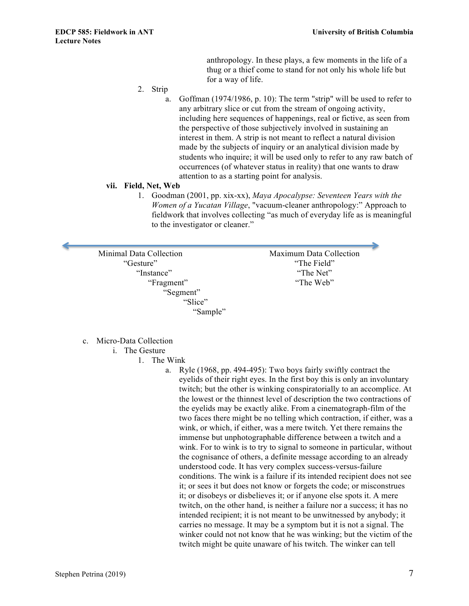anthropology. In these plays, a few moments in the life of a thug or a thief come to stand for not only his whole life but for a way of life.

2. Strip

a. Goffman (1974/1986, p. 10): The term "strip" will be used to refer to any arbitrary slice or cut from the stream of ongoing activity, including here sequences of happenings, real or fictive, as seen from the perspective of those subjectively involved in sustaining an interest in them. A strip is not meant to reflect a natural division made by the subjects of inquiry or an analytical division made by students who inquire; it will be used only to refer to any raw batch of occurrences (of whatever status in reality) that one wants to draw attention to as a starting point for analysis.

#### **vii. Field, Net, Web**

1. Goodman (2001, pp. xix-xx), *Maya Apocalypse: Seventeen Years with the Women of a Yucatan Village*, "vacuum-cleaner anthropology:" Approach to fieldwork that involves collecting "as much of everyday life as is meaningful to the investigator or cleaner."

Minimal Data Collection "Gesture" "Instance" "Fragment" "Segment" "Slice" Maximum Data Collection "The Field" "The Net" "The Web"

c. Micro-Data Collection

- i. The Gesture
	- 1. The Wink

"Sample"

a. Ryle (1968, pp. 494-495): Two boys fairly swiftly contract the eyelids of their right eyes. In the first boy this is only an involuntary twitch; but the other is winking conspiratorially to an accomplice. At the lowest or the thinnest level of description the two contractions of the eyelids may be exactly alike. From a cinematograph-film of the two faces there might be no telling which contraction, if either, was a wink, or which, if either, was a mere twitch. Yet there remains the immense but unphotographable difference between a twitch and a wink. For to wink is to try to signal to someone in particular, without the cognisance of others, a definite message according to an already understood code. It has very complex success-versus-failure conditions. The wink is a failure if its intended recipient does not see it; or sees it but does not know or forgets the code; or misconstrues it; or disobeys or disbelieves it; or if anyone else spots it. A mere twitch, on the other hand, is neither a failure nor a success; it has no intended recipient; it is not meant to be unwitnessed by anybody; it carries no message. It may be a symptom but it is not a signal. The winker could not not know that he was winking; but the victim of the twitch might be quite unaware of his twitch. The winker can tell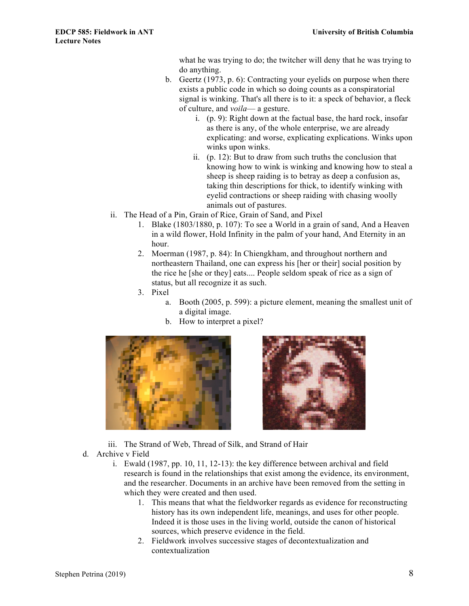what he was trying to do; the twitcher will deny that he was trying to do anything.

- b. Geertz (1973, p. 6): Contracting your eyelids on purpose when there exists a public code in which so doing counts as a conspiratorial signal is winking. That's all there is to it: a speck of behavior, a fleck of culture, and *voila*— a gesture.
	- i. (p. 9): Right down at the factual base, the hard rock, insofar as there is any, of the whole enterprise, we are already explicating: and worse, explicating explications. Winks upon winks upon winks.
	- ii. (p. 12): But to draw from such truths the conclusion that knowing how to wink is winking and knowing how to steal a sheep is sheep raiding is to betray as deep a confusion as, taking thin descriptions for thick, to identify winking with eyelid contractions or sheep raiding with chasing woolly animals out of pastures.
- ii. The Head of a Pin, Grain of Rice, Grain of Sand, and Pixel
	- 1. Blake (1803/1880, p. 107): To see a World in a grain of sand, And a Heaven in a wild flower, Hold Infinity in the palm of your hand, And Eternity in an hour.
	- 2. Moerman (1987, p. 84): In Chiengkham, and throughout northern and northeastern Thailand, one can express his [her or their] social position by the rice he [she or they] eats.... People seldom speak of rice as a sign of status, but all recognize it as such.
	- 3. Pixel
		- a. Booth (2005, p. 599): a picture element, meaning the smallest unit of a digital image.
		- b. How to interpret a pixel?





- iii. The Strand of Web, Thread of Silk, and Strand of Hair
- d. Archive v Field
	- i. Ewald (1987, pp. 10, 11, 12-13): the key difference between archival and field research is found in the relationships that exist among the evidence, its environment, and the researcher. Documents in an archive have been removed from the setting in which they were created and then used.
		- 1. This means that what the fieldworker regards as evidence for reconstructing history has its own independent life, meanings, and uses for other people. Indeed it is those uses in the living world, outside the canon of historical sources, which preserve evidence in the field.
		- 2. Fieldwork involves successive stages of decontextualization and contextualization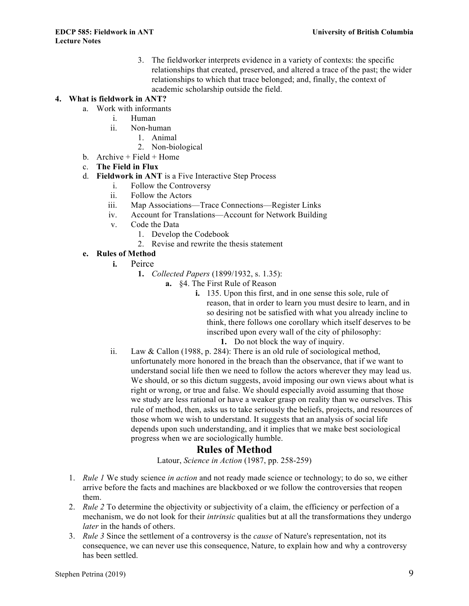3. The fieldworker interprets evidence in a variety of contexts: the specific relationships that created, preserved, and altered a trace of the past; the wider relationships to which that trace belonged; and, finally, the context of academic scholarship outside the field.

#### **4. What is fieldwork in ANT?**

- a. Work with informants
	- i. Human
	- ii. Non-human
		- 1. Animal
		- 2. Non-biological
	- b. Archive + Field + Home
	- c. **The Field in Flux**
	- d. **Fieldwork in ANT** is a Five Interactive Step Process
		- i. Follow the Controversy
		- ii. Follow the Actors
		- iii. Map Associations—Trace Connections—Register Links
		- iv. Account for Translations—Account for Network Building
		- v. Code the Data
			- 1. Develop the Codebook
			- 2. Revise and rewrite the thesis statement
	- **e. Rules of Method**
		- **i.** Peirce
			- **1.** *Collected Papers* (1899/1932, s. 1.35):
				- **a.** §4. The First Rule of Reason
					- **i.** 135. Upon this first, and in one sense this sole, rule of reason, that in order to learn you must desire to learn, and in so desiring not be satisfied with what you already incline to think, there follows one corollary which itself deserves to be inscribed upon every wall of the city of philosophy:
						- **1.** Do not block the way of inquiry.
		- ii. Law & Callon (1988, p. 284): There is an old rule of sociological method, unfortunately more honored in the breach than the observance, that if we want to understand social life then we need to follow the actors wherever they may lead us. We should, or so this dictum suggests, avoid imposing our own views about what is right or wrong, or true and false. We should especially avoid assuming that those we study are less rational or have a weaker grasp on reality than we ourselves. This rule of method, then, asks us to take seriously the beliefs, projects, and resources of those whom we wish to understand. It suggests that an analysis of social life depends upon such understanding, and it implies that we make best sociological progress when we are sociologically humble.

## **Rules of Method**

Latour, *Science in Action* (1987, pp. 258-259)

- 1. *Rule 1* We study science *in action* and not ready made science or technology; to do so, we either arrive before the facts and machines are blackboxed or we follow the controversies that reopen them.
- 2. *Rule 2* To determine the objectivity or subjectivity of a claim, the efficiency or perfection of a mechanism, we do not look for their *intrinsic* qualities but at all the transformations they undergo *later* in the hands of others.
- 3. *Rule 3* Since the settlement of a controversy is the *cause* of Nature's representation, not its consequence, we can never use this consequence, Nature, to explain how and why a controversy has been settled.